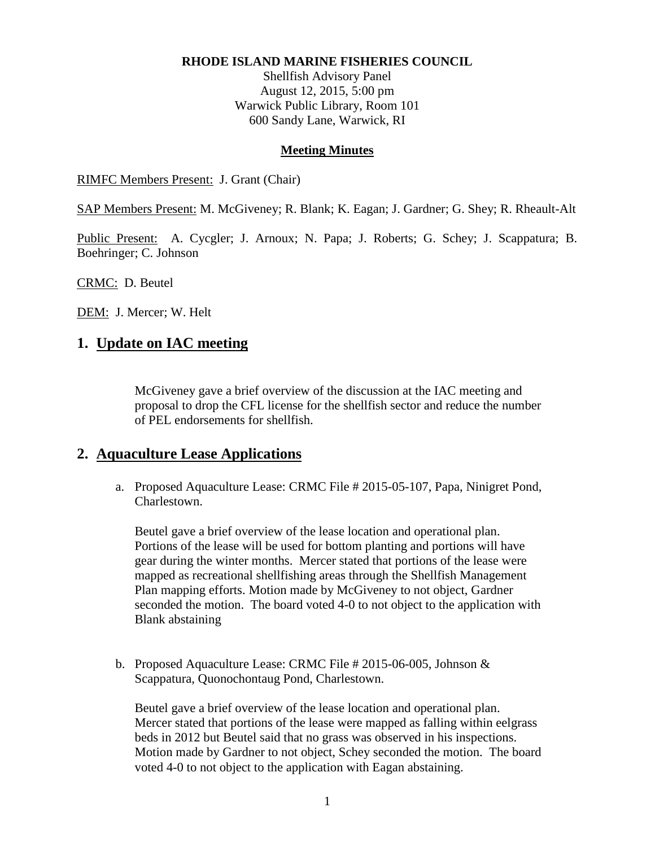#### **RHODE ISLAND MARINE FISHERIES COUNCIL**

Shellfish Advisory Panel August 12, 2015, 5:00 pm Warwick Public Library, Room 101 600 Sandy Lane, Warwick, RI

#### **Meeting Minutes**

RIMFC Members Present: J. Grant (Chair)

SAP Members Present: M. McGiveney; R. Blank; K. Eagan; J. Gardner; G. Shey; R. Rheault-Alt

Public Present: A. Cycgler; J. Arnoux; N. Papa; J. Roberts; G. Schey; J. Scappatura; B. Boehringer; C. Johnson

CRMC: D. Beutel

DEM: J. Mercer; W. Helt

## **1. Update on IAC meeting**

McGiveney gave a brief overview of the discussion at the IAC meeting and proposal to drop the CFL license for the shellfish sector and reduce the number of PEL endorsements for shellfish.

## **2. Aquaculture Lease Applications**

a. Proposed Aquaculture Lease: CRMC File # 2015-05-107, Papa, Ninigret Pond, Charlestown.

Beutel gave a brief overview of the lease location and operational plan. Portions of the lease will be used for bottom planting and portions will have gear during the winter months. Mercer stated that portions of the lease were mapped as recreational shellfishing areas through the Shellfish Management Plan mapping efforts. Motion made by McGiveney to not object, Gardner seconded the motion. The board voted 4-0 to not object to the application with Blank abstaining

b. Proposed Aquaculture Lease: CRMC File # 2015-06-005, Johnson & Scappatura, Quonochontaug Pond, Charlestown.

Beutel gave a brief overview of the lease location and operational plan. Mercer stated that portions of the lease were mapped as falling within eelgrass beds in 2012 but Beutel said that no grass was observed in his inspections. Motion made by Gardner to not object, Schey seconded the motion. The board voted 4-0 to not object to the application with Eagan abstaining.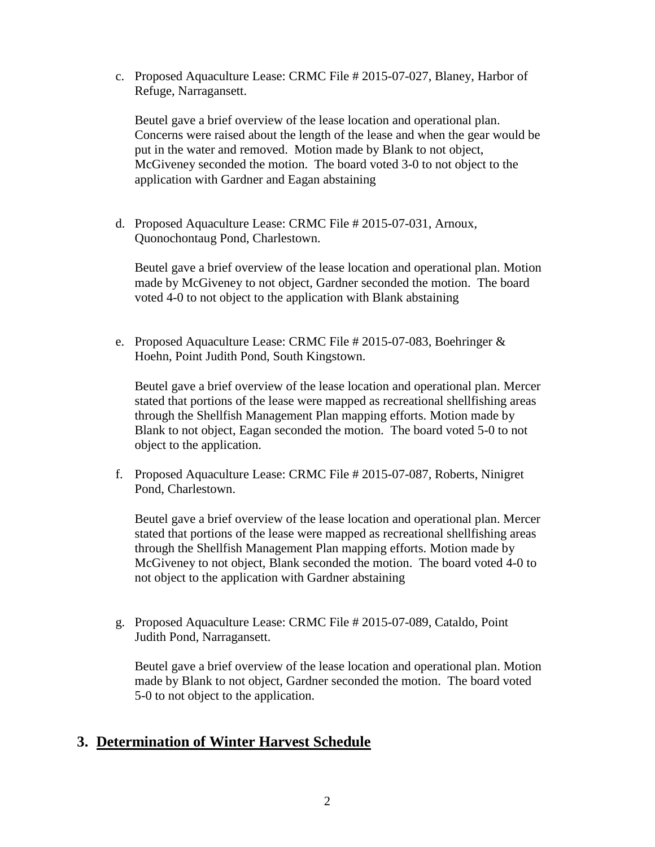c. Proposed Aquaculture Lease: CRMC File # 2015-07-027, Blaney, Harbor of Refuge, Narragansett.

Beutel gave a brief overview of the lease location and operational plan. Concerns were raised about the length of the lease and when the gear would be put in the water and removed. Motion made by Blank to not object, McGiveney seconded the motion. The board voted 3-0 to not object to the application with Gardner and Eagan abstaining

d. Proposed Aquaculture Lease: CRMC File # 2015-07-031, Arnoux, Quonochontaug Pond, Charlestown.

Beutel gave a brief overview of the lease location and operational plan. Motion made by McGiveney to not object, Gardner seconded the motion. The board voted 4-0 to not object to the application with Blank abstaining

e. Proposed Aquaculture Lease: CRMC File # 2015-07-083, Boehringer & Hoehn, Point Judith Pond, South Kingstown.

Beutel gave a brief overview of the lease location and operational plan. Mercer stated that portions of the lease were mapped as recreational shellfishing areas through the Shellfish Management Plan mapping efforts. Motion made by Blank to not object, Eagan seconded the motion. The board voted 5-0 to not object to the application.

f. Proposed Aquaculture Lease: CRMC File # 2015-07-087, Roberts, Ninigret Pond, Charlestown.

Beutel gave a brief overview of the lease location and operational plan. Mercer stated that portions of the lease were mapped as recreational shellfishing areas through the Shellfish Management Plan mapping efforts. Motion made by McGiveney to not object, Blank seconded the motion. The board voted 4-0 to not object to the application with Gardner abstaining

g. Proposed Aquaculture Lease: CRMC File # 2015-07-089, Cataldo, Point Judith Pond, Narragansett.

Beutel gave a brief overview of the lease location and operational plan. Motion made by Blank to not object, Gardner seconded the motion. The board voted 5-0 to not object to the application.

## **3. Determination of Winter Harvest Schedule**